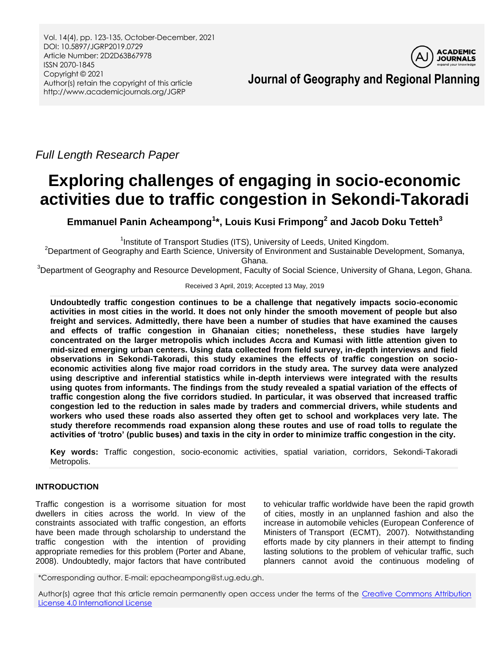Vol. 14(4), pp. 123-135, October-December, 2021 DOI: 10.5897/JGRP2019.0729 Article Number: 2D2D63B67978 ISSN 2070-1845 Copyright © 2021 Author(s) retain the copyright of this article http://www.academicjournals.org/JGRP



**Journal of Geography and Regional Planning**

*Full Length Research Paper*

# **Exploring challenges of engaging in socio-economic activities due to traffic congestion in Sekondi-Takoradi**

**Emmanuel Panin Acheampong<sup>1</sup> \*, Louis Kusi Frimpong<sup>2</sup> and Jacob Doku Tetteh 3**

<sup>1</sup>Institute of Transport Studies (ITS), University of Leeds, United Kingdom.

<sup>2</sup>Department of Geography and Earth Science, University of Environment and Sustainable Development, Somanya, Ghana.

<sup>3</sup>Department of Geography and Resource Development, Faculty of Social Science, University of Ghana, Legon, Ghana.

Received 3 April, 2019; Accepted 13 May, 2019

**Undoubtedly traffic congestion continues to be a challenge that negatively impacts socio-economic activities in most cities in the world. It does not only hinder the smooth movement of people but also freight and services. Admittedly, there have been a number of studies that have examined the causes and effects of traffic congestion in Ghanaian cities; nonetheless, these studies have largely concentrated on the larger metropolis which includes Accra and Kumasi with little attention given to mid-sized emerging urban centers. Using data collected from field survey, in-depth interviews and field observations in Sekondi-Takoradi, this study examines the effects of traffic congestion on socioeconomic activities along five major road corridors in the study area. The survey data were analyzed using descriptive and inferential statistics while in-depth interviews were integrated with the results using quotes from informants. The findings from the study revealed a spatial variation of the effects of traffic congestion along the five corridors studied. In particular, it was observed that increased traffic congestion led to the reduction in sales made by traders and commercial drivers, while students and workers who used these roads also asserted they often get to school and workplaces very late. The study therefore recommends road expansion along these routes and use of road tolls to regulate the activities of 'trotro' (public buses) and taxis in the city in order to minimize traffic congestion in the city.** 

**Key words:** Traffic congestion, socio-economic activities, spatial variation, corridors, Sekondi-Takoradi Metropolis.

# **INTRODUCTION**

Traffic congestion is a worrisome situation for most dwellers in cities across the world. In view of the constraints associated with traffic congestion, an efforts have been made through scholarship to understand the traffic congestion with the intention of providing appropriate remedies for this problem (Porter and Abane, 2008). Undoubtedly, major factors that have contributed

to vehicular traffic worldwide have been the rapid growth of cities, mostly in an unplanned fashion and also the increase in automobile vehicles (European Conference of Ministers of Transport (ECMT), 2007). Notwithstanding efforts made by city planners in their attempt to finding lasting solutions to the problem of vehicular traffic, such planners cannot avoid the continuous modeling of

\*Corresponding author. E-mail: epacheampong@st.ug.edu.gh.

Author(s) agree that this article remain permanently open access under the terms of the Creative Commons Attribution [License 4.0 International License](http://creativecommons.org/licenses/by/4.0/deed.en_US)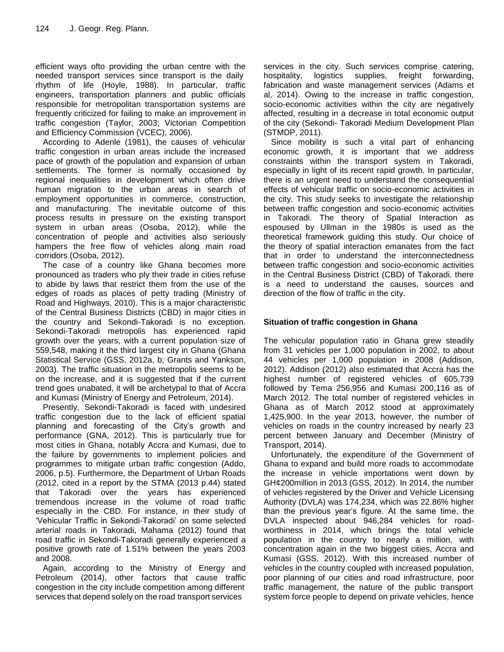efficient ways ofto providing the urban centre with the needed transport services since transport is the daily rhythm of life (Hoyle, 1988). In particular, traffic engineers, transportation planners and public officials responsible for metropolitan transportation systems are frequently criticized for failing to make an improvement in traffic congestion (Taylor, 2003; Victorian Competition and Efficiency Commission (VCEC), 2006).

According to Adenle (1981), the causes of vehicular traffic congestion in urban areas include the increased pace of growth of the population and expansion of urban settlements. The former is normally occasioned by regional inequalities in development which often drive human migration to the urban areas in search of employment opportunities in commerce, construction, and manufacturing. The inevitable outcome of this process results in pressure on the existing transport system in urban areas (Osoba, 2012), while the concentration of people and activities also seriously hampers the free flow of vehicles along main road corridors (Osoba, 2012).

The case of a country like Ghana becomes more pronounced as traders who ply their trade in cities refuse to abide by laws that restrict them from the use of the edges of roads as places of petty trading (Ministry of Road and Highways, 2010). This is a major characteristic of the Central Business Districts (CBD) in major cities in the country and Sekondi-Takoradi is no exception. Sekondi-Takoradi metropolis has experienced rapid growth over the years, with a current population size of 559,548, making it the third largest city in Ghana (Ghana Statistical Service (GSS, 2012a, b; Grants and Yankson, 2003). The traffic situation in the metropolis seems to be on the increase, and it is suggested that if the current trend goes unabated, it will be archetypal to that of Accra and Kumasi (Ministry of Energy and Petroleum, 2014).

Presently, Sekondi-Takoradi is faced with undesired traffic congestion due to the lack of efficient spatial planning and forecasting of the City's growth and performance (GNA, 2012). This is particularly true for most cities in Ghana, notably Accra and Kumasi, due to the failure by governments to implement policies and programmes to mitigate urban traffic congestion (Addo, 2006, p.5). Furthermore, the Department of Urban Roads (2012, cited in a report by the STMA (2013 p.44) stated that Takoradi over the years has experienced tremendous increase in the volume of road traffic especially in the CBD. For instance, in their study of "Vehicular Traffic in Sekondi-Takoradi" on some selected arterial roads in Takoradi, Mahama (2012) found that road traffic in Sekondi-Takoradi generally experienced a positive growth rate of 1.51% between the years 2003 and 2008.

Again, according to the Ministry of Energy and Petroleum (2014), other factors that cause traffic congestion in the city include competition among different services that depend solely on the road transport services

services in the city. Such services comprise catering, hospitality, logistics supplies, freight forwarding, fabrication and waste management services (Adams et al, 2014). Owing to the increase in traffic congestion, socio-economic activities within the city are negatively affected, resulting in a decrease in total economic output of the city (Sekondi- Takoradi Medium Development Plan (STMDP, 2011).

Since mobility is such a vital part of enhancing economic growth, it is important that we address constraints within the transport system in Takoradi, especially in light of its recent rapid growth. In particular, there is an urgent need to understand the consequential effects of vehicular traffic on socio-economic activities in the city. This study seeks to investigate the relationship between traffic congestion and socio-economic activities in Takoradi. The theory of Spatial Interaction as espoused by Ullman in the 1980s is used as the theoretical framework guiding this study. Our choice of the theory of spatial interaction emanates from the fact that in order to understand the interconnectedness between traffic congestion and socio-economic activities in the Central Business District (CBD) of Takoradi, there is a need to understand the causes, sources and direction of the flow of traffic in the city.

# **Situation of traffic congestion in Ghana**

The vehicular population ratio in Ghana grew steadily from 31 vehicles per 1,000 population in 2002, to about 44 vehicles per 1,000 population in 2008 (Addison, 2012). Addison (2012) also estimated that Accra has the highest number of registered vehicles of 605,739 followed by Tema 256,956 and Kumasi 200,116 as of March 2012. The total number of registered vehicles in Ghana as of March 2012 stood at approximately 1,425,900. In the year 2013, however, the number of vehicles on roads in the country increased by nearly 23 percent between January and December (Ministry of Transport, 2014).

Unfortunately, the expenditure of the Government of Ghana to expand and build more roads to accommodate the increase in vehicle importations went down by GH¢200million in 2013 (GSS, 2012). In 2014, the number of vehicles registered by the Driver and Vehicle Licensing Authority (DVLA) was 174,234, which was 22.86% higher than the previous year"s figure. At the same time, the DVLA inspected about 946,284 vehicles for roadworthiness in 2014, which brings the total vehicle population in the country to nearly a million, with concentration again in the two biggest cities, Accra and Kumasi (GSS, 2012). With this increased number of vehicles in the country coupled with increased population, poor planning of our cities and road infrastructure, poor traffic management, the nature of the public transport system force people to depend on private vehicles, hence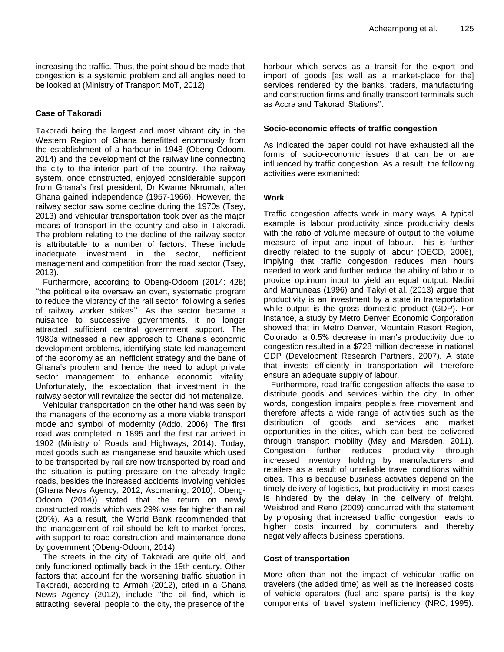increasing the traffic. Thus, the point should be made that congestion is a systemic problem and all angles need to be looked at (Ministry of Transport MoT, 2012).

## **Case of Takoradi**

Takoradi being the largest and most vibrant city in the Western Region of Ghana benefitted enormously from the establishment of a harbour in 1948 (Obeng-Odoom, 2014) and the development of the railway line connecting the city to the interior part of the country. The railway system, once constructed, enjoyed considerable support from Ghana"s first president, Dr Kwame Nkrumah, after Ghana gained independence (1957-1966). However, the railway sector saw some decline during the 1970s (Tsey, 2013) and vehicular transportation took over as the major means of transport in the country and also in Takoradi. The problem relating to the decline of the railway sector is attributable to a number of factors. These include inadequate investment in the sector, inefficient management and competition from the road sector (Tsey, 2013).

Furthermore, according to Obeng-Odoom (2014: 428) "the political elite oversaw an overt, systematic program to reduce the vibrancy of the rail sector, following a series of railway worker strikes". As the sector became a nuisance to successive governments, it no longer attracted sufficient central government support. The 1980s witnessed a new approach to Ghana's economic development problems, identifying state-led management of the economy as an inefficient strategy and the bane of Ghana"s problem and hence the need to adopt private sector management to enhance economic vitality. Unfortunately, the expectation that investment in the railway sector will revitalize the sector did not materialize.

Vehicular transportation on the other hand was seen by the managers of the economy as a more viable transport mode and symbol of modernity (Addo, 2006). The first road was completed in 1895 and the first car arrived in 1902 (Ministry of Roads and Highways, 2014). Today, most goods such as manganese and bauxite which used to be transported by rail are now transported by road and the situation is putting pressure on the already fragile roads, besides the increased accidents involving vehicles (Ghana News Agency, 2012; Asomaning, 2010). Obeng-Odoom (2014)) stated that the return on newly constructed roads which was 29% was far higher than rail (20%). As a result, the World Bank recommended that the management of rail should be left to market forces, with support to road construction and maintenance done by government (Obeng-Odoom, 2014).

The streets in the city of Takoradi are quite old, and only functioned optimally back in the 19th century. Other factors that account for the worsening traffic situation in Takoradi, according to Armah (2012), cited in a Ghana News Agency (2012), include "the oil find, which is attracting several people to the city, the presence of the harbour which serves as a transit for the export and import of goods [as well as a market-place for the] services rendered by the banks, traders, manufacturing and construction firms and finally transport terminals such as Accra and Takoradi Stations".

## **Socio-economic effects of traffic congestion**

As indicated the paper could not have exhausted all the forms of socio-economic issues that can be or are influenced by traffic congestion. As a result, the following activities were exmanined:

## **Work**

Traffic congestion affects work in many ways. A typical example is labour productivity since productivity deals with the ratio of volume measure of output to the volume measure of input and input of labour. This is further directly related to the supply of labour (OECD, 2006), implying that traffic congestion reduces man hours needed to work and further reduce the ability of labour to provide optimum input to yield an equal output. Nadiri and Mamuneas (1996) and Takyi et al. (2013) argue that productivity is an investment by a state in transportation while output is the gross domestic product (GDP). For instance, a study by Metro Denver Economic Corporation showed that in Metro Denver, Mountain Resort Region, Colorado, a 0.5% decrease in man"s productivity due to congestion resulted in a \$728 million decrease in national GDP (Development Research Partners, 2007). A state that invests efficiently in transportation will therefore ensure an adequate supply of labour.

Furthermore, road traffic congestion affects the ease to distribute goods and services within the city. In other words, congestion impairs people"s free movement and therefore affects a wide range of activities such as the distribution of goods and services and market opportunities in the cities, which can best be delivered through transport mobility (May and Marsden, 2011). Congestion further reduces productivity through increased inventory holding by manufacturers and retailers as a result of unreliable travel conditions within cities. This is because business activities depend on the timely delivery of logistics, but productivity in most cases is hindered by the delay in the delivery of freight. Weisbrod and Reno (2009) concurred with the statement by proposing that increased traffic congestion leads to higher costs incurred by commuters and thereby negatively affects business operations.

## **Cost of transportation**

More often than not the impact of vehicular traffic on travelers (the added time) as well as the increased costs of vehicle operators (fuel and spare parts) is the key components of travel system inefficiency (NRC, 1995).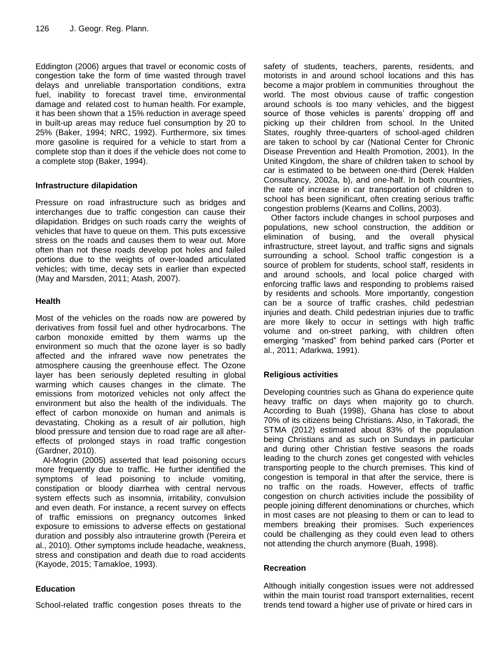Eddington (2006) argues that travel or economic costs of congestion take the form of time wasted through travel delays and unreliable transportation conditions, extra fuel, inability to forecast travel time, environmental damage and related cost to human health. For example, it has been shown that a 15% reduction in average speed in built-up areas may reduce fuel consumption by 20 to 25% (Baker, 1994; NRC, 1992). Furthermore, six times more gasoline is required for a vehicle to start from a complete stop than it does if the vehicle does not come to a complete stop (Baker, 1994).

# **Infrastructure dilapidation**

Pressure on road infrastructure such as bridges and interchanges due to traffic congestion can cause their dilapidation. Bridges on such roads carry the weights of vehicles that have to queue on them. This puts excessive stress on the roads and causes them to wear out. More often than not these roads develop pot holes and failed portions due to the weights of over-loaded articulated vehicles; with time, decay sets in earlier than expected (May and Marsden, 2011; Atash, 2007).

# **Health**

Most of the vehicles on the roads now are powered by derivatives from fossil fuel and other hydrocarbons. The carbon monoxide emitted by them warms up the environment so much that the ozone layer is so badly affected and the infrared wave now penetrates the atmosphere causing the greenhouse effect. The Ozone layer has been seriously depleted resulting in global warming which causes changes in the climate. The emissions from motorized vehicles not only affect the environment but also the health of the individuals. The effect of carbon monoxide on human and animals is devastating. Choking as a result of air pollution, high blood pressure and tension due to road rage are all aftereffects of prolonged stays in road traffic congestion (Gardner, 2010).

Al-Mogrin (2005) asserted that lead poisoning occurs more frequently due to traffic. He further identified the symptoms of lead poisoning to include vomiting, constipation or bloody diarrhea with central nervous system effects such as insomnia, irritability, convulsion and even death. For instance, a recent survey on effects of traffic emissions on pregnancy outcomes linked exposure to emissions to adverse effects on gestational duration and possibly also intrauterine growth (Pereira et al., 2010). Other symptoms include headache, weakness, stress and constipation and death due to road accidents (Kayode, 2015; Tamakloe, 1993).

# **Education**

School-related traffic congestion poses threats to the

safety of students, teachers, parents, residents, and motorists in and around school locations and this has become a major problem in communities throughout the world. The most obvious cause of traffic congestion around schools is too many vehicles, and the biggest source of those vehicles is parents' dropping off and picking up their children from school. In the United States, roughly three-quarters of school-aged children are taken to school by car (National Center for Chronic Disease Prevention and Health Promotion, 2001). In the United Kingdom, the share of children taken to school by car is estimated to be between one-third (Derek Halden Consultancy, 2002a, b), and one-half. In both countries, the rate of increase in car transportation of children to school has been significant, often creating serious traffic congestion problems (Kearns and Collins, 2003).

Other factors include changes in school purposes and populations, new school construction, the addition or elimination of busing, and the overall physical infrastructure, street layout, and traffic signs and signals surrounding a school. School traffic congestion is a source of problem for students, school staff, residents in and around schools, and local police charged with enforcing traffic laws and responding to problems raised by residents and schools. More importantly, congestion can be a source of traffic crashes, child pedestrian injuries and death. Child pedestrian injuries due to traffic are more likely to occur in settings with high traffic volume and on-street parking, with children often emerging "masked" from behind parked cars (Porter et al., 2011; Adarkwa, 1991).

# **Religious activities**

Developing countries such as Ghana do experience quite heavy traffic on days when majority go to church. According to Buah (1998), Ghana has close to about 70% of its citizens being Christians. Also, in Takoradi, the STMA (2012) estimated about 83% of the population being Christians and as such on Sundays in particular and during other Christian festive seasons the roads leading to the church zones get congested with vehicles transporting people to the church premises. This kind of congestion is temporal in that after the service, there is no traffic on the roads. However, effects of traffic congestion on church activities include the possibility of people joining different denominations or churches, which in most cases are not pleasing to them or can to lead to members breaking their promises. Such experiences could be challenging as they could even lead to others not attending the church anymore (Buah, 1998).

# **Recreation**

Although initially congestion issues were not addressed within the main tourist road transport externalities, recent trends tend toward a higher use of private or hired cars in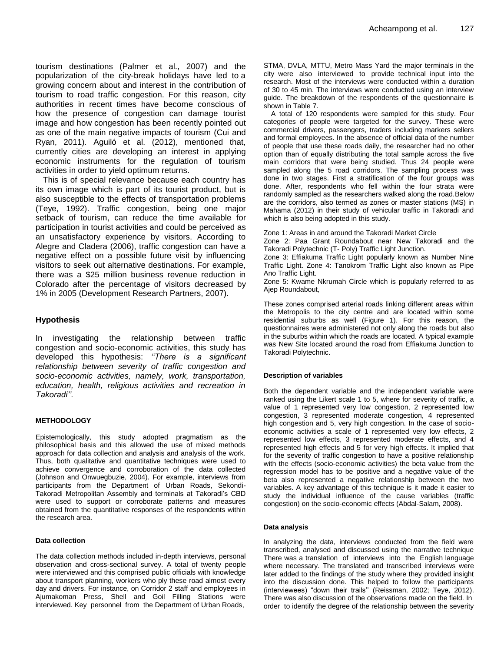tourism destinations (Palmer et al., 2007) and the popularization of the city-break holidays have led to a growing concern about and interest in the contribution of tourism to road traffic congestion. For this reason, city authorities in recent times have become conscious of how the presence of congestion can damage tourist image and how congestion has been recently pointed out as one of the main negative impacts of tourism (Cui and Ryan, 2011). Aguiló et al. (2012), mentioned that, currently cities are developing an interest in applying economic instruments for the regulation of tourism activities in order to yield optimum returns.

This is of special relevance because each country has its own image which is part of its tourist product, but is also susceptible to the effects of transportation problems (Teye, 1992). Traffic congestion, being one major setback of tourism, can reduce the time available for participation in tourist activities and could be perceived as an unsatisfactory experience by visitors. According to Alegre and Cladera (2006), traffic congestion can have a negative effect on a possible future visit by influencing visitors to seek out alternative destinations. For example, there was a \$25 million business revenue reduction in Colorado after the percentage of visitors decreased by 1% in 2005 (Development Research Partners, 2007).

## **Hypothesis**

In investigating the relationship between traffic congestion and socio-economic activities, this study has developed this hypothesis: *''There is a significant relationship between severity of traffic congestion and socio-economic activities, namely, work, transportation, education, health, religious activities and recreation in Takoradi''.*

#### **METHODOLOGY**

Epistemologically, this study adopted pragmatism as the philosophical basis and this allowed the use of mixed methods approach for data collection and analysis and analysis of the work. Thus, both qualitative and quantitative techniques were used to achieve convergence and corroboration of the data collected (Johnson and Onwuegbuzie, 2004). For example, interviews from participants from the Department of Urban Roads, Sekondi-Takoradi Metropolitan Assembly and terminals at Takoradi"s CBD were used to support or corroborate patterns and measures obtained from the quantitative responses of the respondents within the research area.

#### **Data collection**

The data collection methods included in-depth interviews, personal observation and cross-sectional survey. A total of twenty people were interviewed and this comprised public officials with knowledge about transport planning, workers who ply these road almost every day and drivers. For instance, on Corridor 2 staff and employees in Ajumakoman Press, Shell and Goil Filling Stations were interviewed. Key personnel from the Department of Urban Roads,

STMA, DVLA, MTTU, Metro Mass Yard the major terminals in the city were also interviewed to provide technical input into the research. Most of the interviews were conducted within a duration of 30 to 45 min. The interviews were conducted using an interview guide. The breakdown of the respondents of the questionnaire is shown in Table 7.

A total of 120 respondents were sampled for this study. Four categories of people were targeted for the survey. These were commercial drivers, passengers, traders including markers sellers and formal employees. In the absence of official data of the number of people that use these roads daily, the researcher had no other option than of equally distributing the total sample across the five main corridors that were being studied. Thus 24 people were sampled along the 5 road corridors. The sampling process was done in two stages. First a stratification of the four groups was done. After, respondents who fell within the four strata were randomly sampled as the researchers walked along the road.Below are the corridors, also termed as zones or master stations (MS) in Mahama (2012) in their study of vehicular traffic in Takoradi and which is also being adopted in this study.

Zone 1: Areas in and around the Takoradi Market Circle

Zone 2: Paa Grant Roundabout near New Takoradi and the Takoradi Polytechnic (T- Poly) Traffic Light Junction.

Zone 3: Effiakuma Traffic Light popularly known as Number Nine Traffic Light. Zone 4: Tanokrom Traffic Light also known as Pipe Ano Traffic Light.

Zone 5: Kwame Nkrumah Circle which is popularly referred to as Ajep Roundabout,

These zones comprised arterial roads linking different areas within the Metropolis to the city centre and are located within some residential suburbs as well (Figure 1). For this reason, the questionnaires were administered not only along the roads but also in the suburbs within which the roads are located. A typical example was New Site located around the road from Effiakuma Junction to Takoradi Polytechnic.

## **Description of variables**

Both the dependent variable and the independent variable were ranked using the Likert scale 1 to 5, where for severity of traffic, a value of 1 represented very low congestion, 2 represented low congestion, 3 represented moderate congestion, 4 represented high congestion and 5, very high congestion. In the case of socioeconomic activities a scale of 1 represented very low effects, 2 represented low effects, 3 represented moderate effects, and 4 represented high effects and 5 for very high effects. It implied that for the severity of traffic congestion to have a positive relationship with the effects (socio-economic activities) the beta value from the regression model has to be positive and a negative value of the beta also represented a negative relationship between the two variables. A key advantage of this technique is it made it easier to study the individual influence of the cause variables (traffic congestion) on the socio-economic effects (Abdal-Salam, 2008).

#### **Data analysis**

In analyzing the data, interviews conducted from the field were transcribed, analysed and discussed using the narrative technique There was a translation of interviews into the English language where necessary. The translated and transcribed interviews were later added to the findings of the study where they provided insight into the discussion done. This helped to follow the participants (interviewees) "down their trails" (Reissman, 2002; Teye, 2012). There was also discussion of the observations made on the field. In order to identify the degree of the relationship between the severity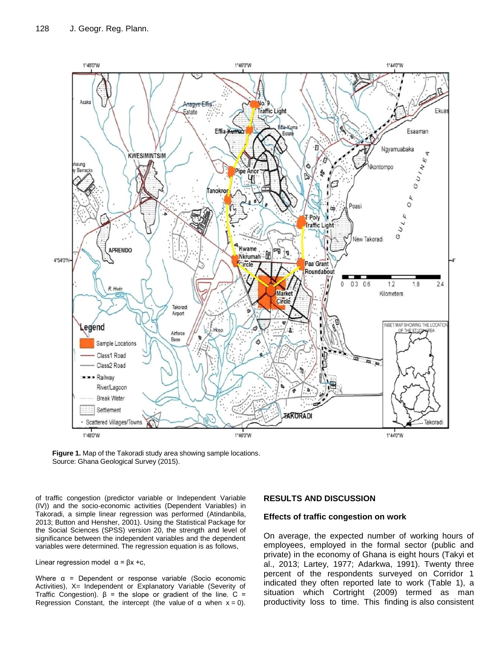

**Figure 1.** Map of the Takoradi study area showing sample locations. Source: Ghana Geological Survey (2015).

of traffic congestion (predictor variable or Independent Variable (IV)) and the socio-economic activities (Dependent Variables) in Takoradi, a simple linear regression was performed (Atindanbila, 2013; Button and Hensher, 2001). Using the Statistical Package for the Social Sciences (SPSS) version 20, the strength and level of significance between the independent variables and the dependent variables were determined. The regression equation is as follows,

Linear regression model  $α = βx +c$ ,

Where  $\alpha$  = Dependent or response variable (Socio economic Activities), X= Independent or Explanatory Variable (Severity of Traffic Congestion).  $\beta$  = the slope or gradient of the line. C = Regression Constant, the intercept (the value of  $\alpha$  when  $x = 0$ ).

#### **RESULTS AND DISCUSSION**

#### **Effects of traffic congestion on work**

On average, the expected number of working hours of employees, employed in the formal sector (public and private) in the economy of Ghana is eight hours (Takyi et al., 2013; Lartey, 1977; Adarkwa, 1991). Twenty three percent of the respondents surveyed on Corridor 1 indicated they often reported late to work (Table 1), a situation which Cortright (2009) termed as man productivity loss to time. This finding is also consistent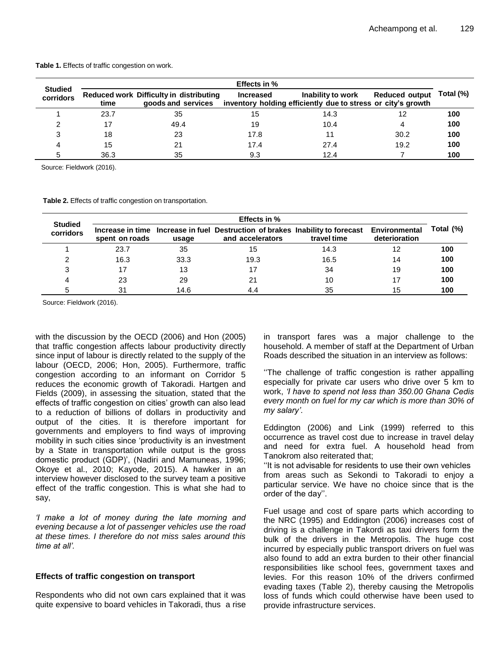|                             | Effects in % |                                                                      |                  |                                                                                   |                       |           |  |  |  |
|-----------------------------|--------------|----------------------------------------------------------------------|------------------|-----------------------------------------------------------------------------------|-----------------------|-----------|--|--|--|
| <b>Studied</b><br>corridors | time         | <b>Reduced work Difficulty in distributing</b><br>goods and services | <b>Increased</b> | Inability to work<br>inventory holding efficiently due to stress or city's growth | <b>Reduced output</b> | Total (%) |  |  |  |
|                             | 23.7         | 35                                                                   | 15               | 14.3                                                                              | 12                    | 100       |  |  |  |
|                             | 17           | 49.4                                                                 | 19               | 10.4                                                                              | 4                     | 100       |  |  |  |
| C                           | 18           | 23                                                                   | 17.8             |                                                                                   | 30.2                  | 100       |  |  |  |
|                             | 15           | 21                                                                   | 17.4             | 27.4                                                                              | 19.2                  | 100       |  |  |  |
|                             | 36.3         | 35                                                                   | 9.3              | 12.4                                                                              |                       | 100       |  |  |  |

**Table 1.** Effects of traffic congestion on work.

Source: Fieldwork (2016).

**Table 2.** Effects of traffic congestion on transportation.

| <b>Studied</b> | <b>Effects in %</b> |       |                                                                                                                 |             |               |           |  |  |
|----------------|---------------------|-------|-----------------------------------------------------------------------------------------------------------------|-------------|---------------|-----------|--|--|
| corridors      | spent on roads      | usage | Increase in time Increase in fuel Destruction of brakes Inability to forecast Environmental<br>and accelerators | travel time | deterioration | Total (%) |  |  |
|                | 23.7                | 35    | 15                                                                                                              | 14.3        |               | 100       |  |  |
|                | 16.3                | 33.3  | 19.3                                                                                                            | 16.5        | 14            | 100       |  |  |
| 3              |                     | 13    |                                                                                                                 | 34          | 19            | 100       |  |  |
|                | 23                  | 29    | 21                                                                                                              | 10          |               | 100       |  |  |
|                | 31                  | 14.6  | 4.4                                                                                                             | 35          | 15            | 100       |  |  |

Source: Fieldwork (2016).

with the discussion by the OECD (2006) and Hon (2005) that traffic congestion affects labour productivity directly since input of labour is directly related to the supply of the labour (OECD, 2006; Hon, 2005). Furthermore, traffic congestion according to an informant on Corridor 5 reduces the economic growth of Takoradi. Hartgen and Fields (2009), in assessing the situation, stated that the effects of traffic congestion on cities' growth can also lead to a reduction of billions of dollars in productivity and output of the cities. It is therefore important for governments and employers to find ways of improving mobility in such cities since "productivity is an investment by a State in transportation while output is the gross domestic product (GDP)', (Nadiri and Mamuneas, 1996; Okoye et al., 2010; Kayode, 2015). A hawker in an interview however disclosed to the survey team a positive effect of the traffic congestion. This is what she had to say,

*'I make a lot of money during the late morning and evening because a lot of passenger vehicles use the road at these times. I therefore do not miss sales around this time at all'.*

#### **Effects of traffic congestion on transport**

Respondents who did not own cars explained that it was quite expensive to board vehicles in Takoradi, thus a rise in transport fares was a major challenge to the household. A member of staff at the Department of Urban Roads described the situation in an interview as follows:

"The challenge of traffic congestion is rather appalling especially for private car users who drive over 5 km to work, *'I have to spend not less than 350.00 Ghana Cedis every month on fuel for my car which is more than 30% of my salary'*.

Eddington (2006) and Link (1999) referred to this occurrence as travel cost due to increase in travel delay and need for extra fuel. A household head from Tanokrom also reiterated that;

"It is not advisable for residents to use their own vehicles from areas such as Sekondi to Takoradi to enjoy a particular service. We have no choice since that is the order of the day".

Fuel usage and cost of spare parts which according to the NRC (1995) and Eddington (2006) increases cost of driving is a challenge in Takordi as taxi drivers form the bulk of the drivers in the Metropolis. The huge cost incurred by especially public transport drivers on fuel was also found to add an extra burden to their other financial responsibilities like school fees, government taxes and levies. For this reason 10% of the drivers confirmed evading taxes (Table 2), thereby causing the Metropolis loss of funds which could otherwise have been used to provide infrastructure services.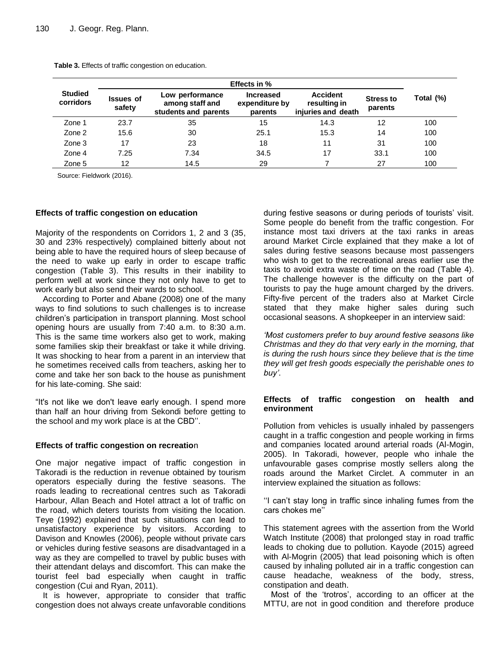|                             | <b>Effects in %</b>                                                                      |      |                                               |                                                       |                             |           |  |  |  |
|-----------------------------|------------------------------------------------------------------------------------------|------|-----------------------------------------------|-------------------------------------------------------|-----------------------------|-----------|--|--|--|
| <b>Studied</b><br>corridors | Low performance<br><b>Issues of</b><br>among staff and<br>safety<br>students and parents |      | <b>Increased</b><br>expenditure by<br>parents | <b>Accident</b><br>resulting in<br>injuries and death | <b>Stress to</b><br>parents | Total (%) |  |  |  |
| Zone 1                      | 23.7                                                                                     | 35   | 15                                            | 14.3                                                  | 12                          | 100       |  |  |  |
| Zone 2                      | 15.6                                                                                     | 30   | 25.1                                          | 15.3                                                  | 14                          | 100       |  |  |  |
| Zone 3                      | 17                                                                                       | 23   | 18                                            | 11                                                    | 31                          | 100       |  |  |  |
| Zone 4                      | 7.25                                                                                     | 7.34 | 34.5                                          | 17                                                    | 33.1                        | 100       |  |  |  |
| Zone 5                      | 12                                                                                       | 14.5 | 29                                            |                                                       | 27                          | 100       |  |  |  |

**Table 3.** Effects of traffic congestion on education.

Source: Fieldwork (2016).

#### **Effects of traffic congestion on education**

Majority of the respondents on Corridors 1, 2 and 3 (35, 30 and 23% respectively) complained bitterly about not being able to have the required hours of sleep because of the need to wake up early in order to escape traffic congestion (Table 3). This results in their inability to perform well at work since they not only have to get to work early but also send their wards to school.

According to Porter and Abane (2008) one of the many ways to find solutions to such challenges is to increase children"s participation in transport planning. Most school opening hours are usually from 7:40 a.m. to 8:30 a.m. This is the same time workers also get to work, making some families skip their breakfast or take it while driving. It was shocking to hear from a parent in an interview that he sometimes received calls from teachers, asking her to come and take her son back to the house as punishment for his late-coming. She said:

"It's not like we don't leave early enough. I spend more than half an hour driving from Sekondi before getting to the school and my work place is at the CBD".

## **Effects of traffic congestion on recreatio**n

One major negative impact of traffic congestion in Takoradi is the reduction in revenue obtained by tourism operators especially during the festive seasons. The roads leading to recreational centres such as Takoradi Harbour, Allan Beach and Hotel attract a lot of traffic on the road, which deters tourists from visiting the location. Teye (1992) explained that such situations can lead to unsatisfactory experience by visitors. According to Davison and Knowles (2006), people without private cars or vehicles during festive seasons are disadvantaged in a way as they are compelled to travel by public buses with their attendant delays and discomfort. This can make the tourist feel bad especially when caught in traffic congestion (Cui and Ryan, 2011).

It is however, appropriate to consider that traffic congestion does not always create unfavorable conditions during festive seasons or during periods of tourists' visit. Some people do benefit from the traffic congestion. For instance most taxi drivers at the taxi ranks in areas around Market Circle explained that they make a lot of sales during festive seasons because most passengers who wish to get to the recreational areas earlier use the taxis to avoid extra waste of time on the road (Table 4). The challenge however is the difficulty on the part of tourists to pay the huge amount charged by the drivers. Fifty-five percent of the traders also at Market Circle stated that they make higher sales during such occasional seasons. A shopkeeper in an interview said:

*'Most customers prefer to buy around festive seasons like Christmas and they do that very early in the morning, that is during the rush hours since they believe that is the time they will get fresh goods especially the perishable ones to buy'*.

## **Effects of traffic congestion on health and environment**

Pollution from vehicles is usually inhaled by passengers caught in a traffic congestion and people working in firms and companies located around arterial roads (Al-Mogin, 2005). In Takoradi, however, people who inhale the unfavourable gases comprise mostly sellers along the roads around the Market Circlet. A commuter in an interview explained the situation as follows:

"I can't stay long in traffic since inhaling fumes from the cars chokes me""

This statement agrees with the assertion from the World Watch Institute (2008) that prolonged stay in road traffic leads to choking due to pollution. Kayode (2015) agreed with Al-Mogrin (2005) that lead poisoning which is often caused by inhaling polluted air in a traffic congestion can cause headache, weakness of the body, stress, constipation and death.

Most of the "trotros", according to an officer at the MTTU, are not in good condition and therefore produce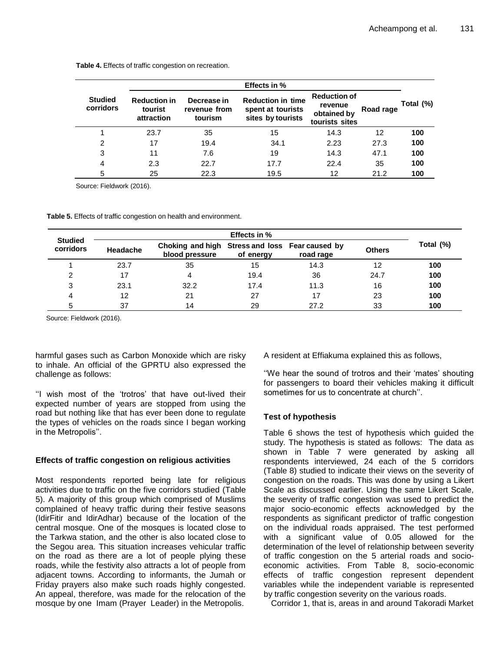|                             |                                              |                                        | <b>Effects in %</b>                                                |                                                                 |           |           |
|-----------------------------|----------------------------------------------|----------------------------------------|--------------------------------------------------------------------|-----------------------------------------------------------------|-----------|-----------|
| <b>Studied</b><br>corridors | <b>Reduction in</b><br>tourist<br>attraction | Decrease in<br>revenue from<br>tourism | <b>Reduction in time</b><br>spent at tourists<br>sites by tourists | <b>Reduction of</b><br>revenue<br>obtained by<br>tourists sites | Road rage | Total (%) |
|                             | 23.7                                         | 35                                     | 15                                                                 | 14.3                                                            | 12        | 100       |
| 2                           | 17                                           | 19.4                                   | 34.1                                                               | 2.23                                                            | 27.3      | 100       |
| 3                           | 11                                           | 7.6                                    | 19                                                                 | 14.3                                                            | 47.1      | 100       |
| 4                           | 2.3                                          | 22.7                                   | 17.7                                                               | 22.4                                                            | 35        | 100       |
| 5                           | 25                                           | 22.3                                   | 19.5                                                               | 12                                                              | 21.2      | 100       |

**Table 4.** Effects of traffic congestion on recreation.

Source: Fieldwork (2016).

**Table 5.** Effects of traffic congestion on health and environment.

| <b>Studied</b> | Effects in % |                                                                   |           |           |               |           |  |  |
|----------------|--------------|-------------------------------------------------------------------|-----------|-----------|---------------|-----------|--|--|
| corridors      | Headache     | Choking and high Stress and loss Fear caused by<br>blood pressure | of energy | road rage | <b>Others</b> | Total (%) |  |  |
|                | 23.7         | 35                                                                | 15        | 14.3      | 12            | 100       |  |  |
| ົ              |              | 4                                                                 | 19.4      | 36        | 24.7          | 100       |  |  |
| 3              | 23.1         | 32.2                                                              | 17.4      | 11.3      | 16            | 100       |  |  |
|                | 12           | 21                                                                | 27        | 17        | 23            | 100       |  |  |
|                | 37           | 14                                                                | 29        | 27.2      | 33            | 100       |  |  |

Source: Fieldwork (2016).

harmful gases such as Carbon Monoxide which are risky to inhale. An official of the GPRTU also expressed the challenge as follows:

"I wish most of the 'trotros' that have out-lived their expected number of years are stopped from using the road but nothing like that has ever been done to regulate the types of vehicles on the roads since I began working in the Metropolis".

## **Effects of traffic congestion on religious activities**

Most respondents reported being late for religious activities due to traffic on the five corridors studied (Table 5). A majority of this group which comprised of Muslims complained of heavy traffic during their festive seasons (IdirFitir and IdirAdhar) because of the location of the central mosque. One of the mosques is located close to the Tarkwa station, and the other is also located close to the Segou area. This situation increases vehicular traffic on the road as there are a lot of people plying these roads, while the festivity also attracts a lot of people from adjacent towns. According to informants, the Jumah or Friday prayers also make such roads highly congested. An appeal, therefore, was made for the relocation of the mosque by one Imam (Prayer Leader) in the Metropolis.

A resident at Effiakuma explained this as follows,

"We hear the sound of trotros and their 'mates' shouting for passengers to board their vehicles making it difficult sometimes for us to concentrate at church".

## **Test of hypothesis**

Table 6 shows the test of hypothesis which guided the study. The hypothesis is stated as follows: The data as shown in Table 7 were generated by asking all respondents interviewed, 24 each of the 5 corridors (Table 8) studied to indicate their views on the severity of congestion on the roads. This was done by using a Likert Scale as discussed earlier. Using the same Likert Scale, the severity of traffic congestion was used to predict the major socio-economic effects acknowledged by the respondents as significant predictor of traffic congestion on the individual roads appraised. The test performed with a significant value of 0.05 allowed for the determination of the level of relationship between severity of traffic congestion on the 5 arterial roads and socioeconomic activities. From Table 8, socio-economic effects of traffic congestion represent dependent variables while the independent variable is represented by traffic congestion severity on the various roads.

Corridor 1, that is, areas in and around Takoradi Market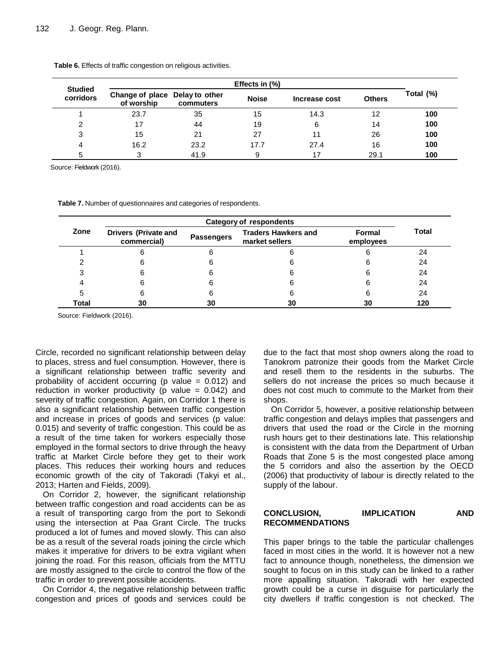| <b>Studied</b><br>corridors | Change of place Delay to other<br>of worship | commuters | <b>Noise</b> | Increase cost | <b>Others</b> | Total (%) |
|-----------------------------|----------------------------------------------|-----------|--------------|---------------|---------------|-----------|
|                             | 23.7                                         | 35        | 15           | 14.3          | 12            | 100       |
|                             | 17                                           | 44        | 19           | 6             | 14            | 100       |
| 3                           | 15                                           | 21        | 27           |               | 26            | 100       |
|                             | 16.2                                         | 23.2      | 17.7         | 27.4          | 16            | 100       |
|                             | ◠                                            | 41.9      | 9            | 17            | 29.1          | 100       |

**Table 6.** Effects of traffic congestion on religious activities.

Source: Fieldwork (2016).

**Table 7.** Number of questionnaires and categories of respondents.

| Zone  | <b>Drivers (Private and</b><br><b>Traders Hawkers and</b><br><b>Formal</b><br><b>Passengers</b><br>market sellers<br>commercial)<br>employees |    |    |    |     |  |  |  |
|-------|-----------------------------------------------------------------------------------------------------------------------------------------------|----|----|----|-----|--|--|--|
|       |                                                                                                                                               |    |    |    | 24  |  |  |  |
|       |                                                                                                                                               |    | 6  |    | 24  |  |  |  |
|       |                                                                                                                                               |    | 6  |    | 24  |  |  |  |
|       |                                                                                                                                               |    | 6  |    | 24  |  |  |  |
| 5     | h                                                                                                                                             |    | 6  |    | 24  |  |  |  |
| Total | 30                                                                                                                                            | 30 | 30 | 30 | 120 |  |  |  |

Source: Fieldwork (2016).

Circle, recorded no significant relationship between delay to places, stress and fuel consumption. However, there is a significant relationship between traffic severity and probability of accident occurring (p value  $= 0.012$ ) and reduction in worker productivity (p value  $= 0.042$ ) and severity of traffic congestion. Again, on Corridor 1 there is also a significant relationship between traffic congestion and increase in prices of goods and services (p value: 0.015) and severity of traffic congestion. This could be as a result of the time taken for workers especially those employed in the formal sectors to drive through the heavy traffic at Market Circle before they get to their work places. This reduces their working hours and reduces economic growth of the city of Takoradi (Takyi et al., 2013; Harten and Fields, 2009).

On Corridor 2, however, the significant relationship between traffic congestion and road accidents can be as a result of transporting cargo from the port to Sekondi using the intersection at Paa Grant Circle. The trucks produced a lot of fumes and moved slowly. This can also be as a result of the several roads joining the circle which makes it imperative for drivers to be extra vigilant when joining the road. For this reason, officials from the MTTU are mostly assigned to the circle to control the flow of the traffic in order to prevent possible accidents.

On Corridor 4, the negative relationship between traffic congestion and prices of goods and services could be due to the fact that most shop owners along the road to Tanokrom patronize their goods from the Market Circle and resell them to the residents in the suburbs. The sellers do not increase the prices so much because it does not cost much to commute to the Market from their shops.

On Corridor 5, however, a positive relationship between traffic congestion and delays implies that passengers and drivers that used the road or the Circle in the morning rush hours get to their destinations late. This relationship is consistent with the data from the Department of Urban Roads that Zone 5 is the most congested place among the 5 corridors and also the assertion by the OECD (2006) that productivity of labour is directly related to the supply of the labour.

# **CONCLUSION, IMPLICATION AND RECOMMENDATIONS**

This paper brings to the table the particular challenges faced in most cities in the world. It is however not a new fact to announce though, nonetheless, the dimension we sought to focus on in this study can be linked to a rather more appalling situation. Takoradi with her expected growth could be a curse in disguise for particularly the city dwellers if traffic congestion is not checked. The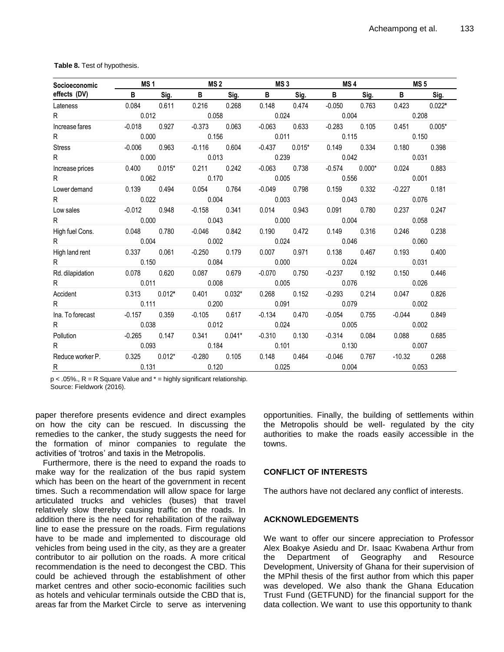| Socioeconomic    | MS <sub>1</sub> |          | MS <sub>2</sub> |          | MS <sub>3</sub> |          | MS <sub>4</sub> |          | MS <sub>5</sub> |          |
|------------------|-----------------|----------|-----------------|----------|-----------------|----------|-----------------|----------|-----------------|----------|
| effects (DV)     | B.              | Sig.     | B               | Sig.     | B               | Sig.     | B               | Sig.     | B.              | Sig.     |
| Lateness         | 0.084           | 0.611    | 0.216           | 0.268    | 0.148           | 0.474    | $-0.050$        | 0.763    | 0.423           | $0.022*$ |
| R                | 0.012           |          | 0.058           |          | 0.024           |          | 0.004           |          | 0.208           |          |
| Increase fares   | $-0.018$        | 0.927    | $-0.373$        | 0.063    | $-0.063$        | 0.633    | $-0.283$        | 0.105    | 0.451           | $0.005*$ |
| R                | 0.000           |          | 0.156           |          | 0.011           |          | 0.115           |          | 0.150           |          |
| <b>Stress</b>    | $-0.006$        | 0.963    | $-0.116$        | 0.604    | $-0.437$        | $0.015*$ | 0.149           | 0.334    | 0.180           | 0.398    |
| R                | 0.000           |          | 0.013           |          | 0.239           |          | 0.042           |          | 0.031           |          |
| Increase prices  | 0.400           | $0.015*$ | 0.211           | 0.242    | $-0.063$        | 0.738    | $-0.574$        | $0.000*$ | 0.024           | 0.883    |
| R                | 0.062           |          | 0.170           |          | 0.005           |          | 0.556           |          | 0.001           |          |
| Lower demand     | 0.139           | 0.494    | 0.054           | 0.764    | $-0.049$        | 0.798    | 0.159           | 0.332    | $-0.227$        | 0.181    |
| R.               | 0.022           |          | 0.004           |          | 0.003           |          | 0.043           |          | 0.076           |          |
| Low sales        | $-0.012$        | 0.948    | $-0.158$        | 0.341    | 0.014           | 0.943    | 0.091           | 0.780    | 0.237           | 0.247    |
| R.               | 0.000           |          | 0.043           |          | 0.000           |          | 0.004           |          | 0.058           |          |
| High fuel Cons.  | 0.048           | 0.780    | $-0.046$        | 0.842    | 0.190           | 0.472    | 0.149           | 0.316    | 0.246           | 0.238    |
| R.               | 0.004           |          | 0.002           |          | 0.024           |          | 0.046           |          | 0.060           |          |
| High land rent   | 0.337           | 0.061    | $-0.250$        | 0.179    | 0.007           | 0.971    | 0.138           | 0.467    | 0.193           | 0.400    |
| R                | 0.150           |          | 0.084           |          | 0.000           |          | 0.024           |          | 0.031           |          |
| Rd. dilapidation | 0.078           | 0.620    | 0.087           | 0.679    | $-0.070$        | 0.750    | $-0.237$        | 0.192    | 0.150           | 0.446    |
| R.               | 0.011           |          | 0.008           |          | 0.005           |          | 0.076           |          | 0.026           |          |
| Accident         | 0.313           | $0.012*$ | 0.401           | $0.032*$ | 0.268           | 0.152    | $-0.293$        | 0.214    | 0.047           | 0.826    |
| R.               | 0.111           |          | 0.200           |          | 0.091           |          | 0.079           |          | 0.002           |          |
| Ina. To forecast | $-0.157$        | 0.359    | $-0.105$        | 0.617    | $-0.134$        | 0.470    | $-0.054$        | 0.755    | $-0.044$        | 0.849    |
| R.               | 0.038           |          | 0.012           |          | 0.024           |          | 0.005           |          | 0.002           |          |
| Pollution        | $-0.265$        | 0.147    | 0.341           | $0.041*$ | $-0.310$        | 0.130    | $-0.314$        | 0.084    | 0.088           | 0.685    |
| R                | 0.093           |          | 0.184           |          | 0.101           |          | 0.130           |          | 0.007           |          |
| Reduce worker P. | 0.325           | $0.012*$ | $-0.280$        | 0.105    | 0.148           | 0.464    | $-0.046$        | 0.767    | -10.32          | 0.268    |
| R                | 0.131           |          | 0.120           |          | 0.025           |          | 0.004           |          | 0.053           |          |

**Table 8.** Test of hypothesis.

 $p < .05\%$ .,  $R = R$  Square Value and  $* =$  highly significant relationship. Source: Fieldwork (2016).

paper therefore presents evidence and direct examples on how the city can be rescued. In discussing the remedies to the canker, the study suggests the need for the formation of minor companies to regulate the activities of 'trotros' and taxis in the Metropolis.

Furthermore, there is the need to expand the roads to make way for the realization of the bus rapid system which has been on the heart of the government in recent times. Such a recommendation will allow space for large articulated trucks and vehicles (buses) that travel relatively slow thereby causing traffic on the roads. In addition there is the need for rehabilitation of the railway line to ease the pressure on the roads. Firm regulations have to be made and implemented to discourage old vehicles from being used in the city, as they are a greater contributor to air pollution on the roads. A more critical recommendation is the need to decongest the CBD. This could be achieved through the establishment of other market centres and other socio-economic facilities such as hotels and vehicular terminals outside the CBD that is, areas far from the Market Circle to serve as intervening opportunities. Finally, the building of settlements within the Metropolis should be well- regulated by the city authorities to make the roads easily accessible in the towns.

## **CONFLICT OF INTERESTS**

The authors have not declared any conflict of interests.

## **ACKNOWLEDGEMENTS**

We want to offer our sincere appreciation to Professor Alex Boakye Asiedu and Dr. Isaac Kwabena Arthur from the Department of Geography and Resource Development, University of Ghana for their supervision of the MPhil thesis of the first author from which this paper was developed. We also thank the Ghana Education Trust Fund (GETFUND) for the financial support for the data collection. We want to use this opportunity to thank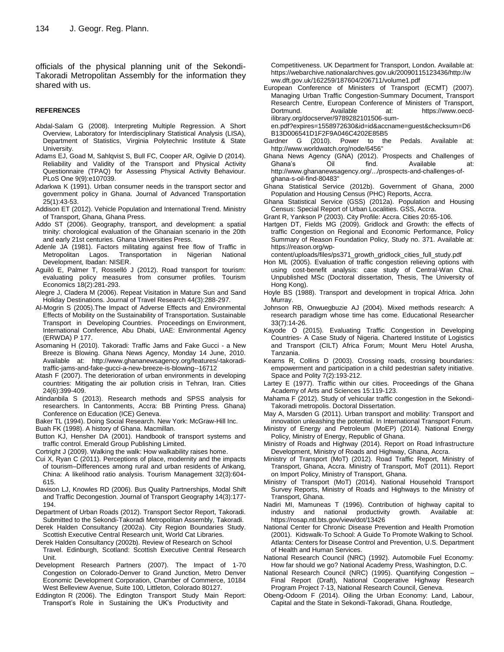officials of the physical planning unit of the Sekondi-Takoradi Metropolitan Assembly for the information they shared with us.

#### **REFERENCES**

- Abdal-Salam G (2008). Interpreting Multiple Regression. A Short Overview, Laboratory for Interdisciplinary Statistical Analysis (LISA), Department of Statistics, Virginia Polytechnic Institute & State University.
- Adams EJ, Goad M, Sahlqvist S, Bull FC, Cooper AR, Ogilvie D (2014). Reliability and Validity of the Transport and Physical Activity Questionnaire (TPAQ) for Assessing Physical Activity Behaviour. PLoS One 9(9):e107039.
- Adarkwa K (1991). Urban consumer needs in the transport sector and government policy in Ghana. Journal of Advanced Transportation 25(1):43-53.
- Addison ET (2012). Vehicle Population and International Trend. Ministry of Transport, Ghana, Ghana Press.
- Addo ST (2006). Geography, transport, and development: a spatial trinity: chorological evaluation of the Ghanaian scenario in the 20th and early 21st centuries. Ghana Universities Press.
- Adenle JA (1981). Factors militating against free flow of Traffic in Metropolitan Lagos. Transportation in Nigerian National Development, Ibadan: NISER.
- Aguiló E, Palmer T, Rosselló J (2012). Road transport for tourism: evaluating policy measures from consumer profiles. Tourism Economics 18(2):281-293.
- Alegre J, Cladera M (2006). Repeat Visitation in Mature Sun and Sand Holiday Destinations. Journal of Travel Research 44(3):288-297.
- Al-Mogrin S (2005).The Impact of Adverse Effects and Environmental Effects of Mobility on the Sustainability of Transportation. Sustainable Transport in Developing Countries. Proceedings on Environment, International Conference, Abu Dhabi, UAE: Environmental Agency (ERWDA) P 177.
- Asomaning H (2010). Takoradi: Traffic Jams and Fake Gucci a New Breeze is Blowing. Ghana News Agency, Monday 14 June, 2010. Available at: http://www.ghananewsagency.org/features/-takoraditraffic-jams-and-fake-gucci-a-new-breeze-is-blowing--16712
- Atash F (2007). The deterioration of urban environments in developing countries: Mitigating the air pollution crisis in Tehran, Iran. Cities 24(6):399-409.
- Atindanbila S (2013). Research methods and SPSS analysis for researchers. In Cantonments, Accra: BB Printing Press. Ghana) Conference on Education (ICE) Geneva.
- Baker TL (1994). Doing Social Research. New York: McGraw-Hill Inc.
- Buah FK (1998). A history of Ghana. Macmillan.
- Button KJ, Hensher DA (2001). Handbook of transport systems and traffic control. Emerald Group Publishing Limited.
- Cortright J (2009). Walking the walk: How walkability raises home.
- Cui X, Ryan C (2011). Perceptions of place, modernity and the impacts of tourism–Differences among rural and urban residents of Ankang, China: A likelihood ratio analysis. Tourism Management 32(3):604- 615.
- Davison LJ, Knowles RD (2006). Bus Quality Partnerships, Modal Shift and Traffic Decongestion. Journal of Transport Geography 14(3):177- 194.
- Department of Urban Roads (2012). Transport Sector Report, Takoradi. Submitted to the Sekondi-Takoradi Metropolitan Assembly, Takoradi.
- Derek Halden Consultancy (2002a). City Region Boundaries Study. Scottish Executive Central Research unit, World Cat Libraries.
- Derek Halden Consultancy (2002b). Review of Research on School Travel. Edinburgh, Scotland: Scottish Executive Central Research Unit.
- Development Research Partners (2007). The Impact of 1-70 Congestion on Colorado-Denver to Grand Junction, Metro Denver Economic Development Corporation, Chamber of Commerce, 10184 West Belleview Avenue, Suite 100, Littleton, Colorado 80127.
- Eddington R (2006). The Edington Transport Study Main Report: Transport"s Role in Sustaining the UK"s Productivity and

Competitiveness. UK Department for Transport, London. Available at: https://webarchive.nationalarchives.gov.uk/20090115123436/http://w ww.dft.gov.uk/162259/187604/206711/volume1.pdf

European Conference of Ministers of Transport (ECMT) (2007). Managing Urban Traffic Congestion-Summary Document, Transport Research Centre, European Conference of Ministers of Transport, Dortmund. Available at: https://www.oecdilibrary.org/docserver/9789282101506-sum-

en.pdf?expires=1558972630&id=id&accname=guest&checksum=D6 B13D006541D1F2F9A046C4202E85B5

- Gardner G (2010). Power to the Pedals. Available at: http://www.worldwatch.org/node/6456"
- Ghana News Agency (GNA) (2012). Prospects and Challenges of Ghana's Oil find. Available at: http://www.ghananewsagency.org/.../prospects-and-challenges-ofghana-s-oil-find-80483"
- Ghana Statistical Service (2012b). Government of Ghana, 2000 Population and Housing Census (PHC) Reports, Accra.
- Ghana Statistical Service (GSS) (2012a). Population and Housing Census: Special Report of Urban Localities. GSS, Accra.
- Grant R, Yankson P (2003). City Profile: Accra. Cities 20:65-106.
- Hartgen DT, Fields MG (2009). Gridlock and Growth: the effects of traffic Congestion on Regional and Economic Performance, Policy Summary of Reason Foundation Policy, Study no. 371. Available at: https://reason.org/wp-

content/uploads/files/ps371\_growth\_gridlock\_cities\_full\_study.pdf

- Hon ML (2005). Evaluation of traffic congestion relieving options with using cost-benefit analysis: case study of Central-Wan Chai. Unpublished MSc (Doctoral dissertation, Thesis, The University of Hong Kong).
- Hoyle BS (1988). Transport and development in tropical Africa. John Murray.
- Johnson RB, Onwuegbuzie AJ (2004). Mixed methods research: A research paradigm whose time has come. Educational Researcher 33(7):14-26.
- Kayode O (2015). Evaluating Traffic Congestion in Developing Countries- A Case Study of Nigeria. Chartered Institute of Logistics and Transport (CILT) Africa Forum; Mount Meru Hotel Arusha, Tanzania.
- Kearns R, Collins D (2003). Crossing roads, crossing boundaries: empowerment and participation in a child pedestrian safety initiative. Space and Polity 7(2):193-212.
- Lartey E (1977). Traffic within our cities. Proceedings of the Ghana Academy of Arts and Sciences 15:119-123.
- Mahama F (2012). Study of vehicular traffic congestion in the Sekondi-Takoradi metropolis. Doctoral Dissertation.

May A, Marsden G (2011). Urban transport and mobility: Transport and innovation unleashing the potential. In International Transport Forum.

- Ministry of Energy and Petroleum (MoEP) (2014). National Energy Policy, Ministry of Energy, Republic of Ghana.
- Ministry of Roads and Highway (2014). Report on Road Infrastructure Development, Ministry of Roads and Highway, Ghana, Accra.
- Ministry of Transport (MoT) (2012). Road Traffic Report, Ministry of Transport, Ghana, Accra. Ministry of Transport, MoT (2011). Report on Import Policy, Ministry of Transport, Ghana.
- Ministry of Transport (MoT) (2014). National Household Transport Survey Reports, Ministry of Roads and Highways to the Ministry of Transport, Ghana.
- Nadiri MI, Mamuneas T (1996). Contribution of highway capital to industry and national productivity growth. Available at: https://rosap.ntl.bts.gov/view/dot/13426
- National Center for Chronic Disease Prevention and Health Promotion (2001). Kidswalk-To School: A Guide To Promote Walking to School. Atlanta: Centers for Disease Control and Prevention, U.S. Department of Health and Human Services.
- National Research Council (NRC) (1992). Automobile Fuel Economy: How far should we go? National Academy Press, Washington, D.C.
- National Research Council (NRC) (1995). Quantifying Congestion Final Report (Draft), National Cooperative Highway Research Program Project 7-13, National Research Council, Geneva.
- Obeng-Odoom F (2014). Oiling the Urban Economy: Land, Labour, Capital and the State in Sekondi-Takoradi, Ghana. Routledge,